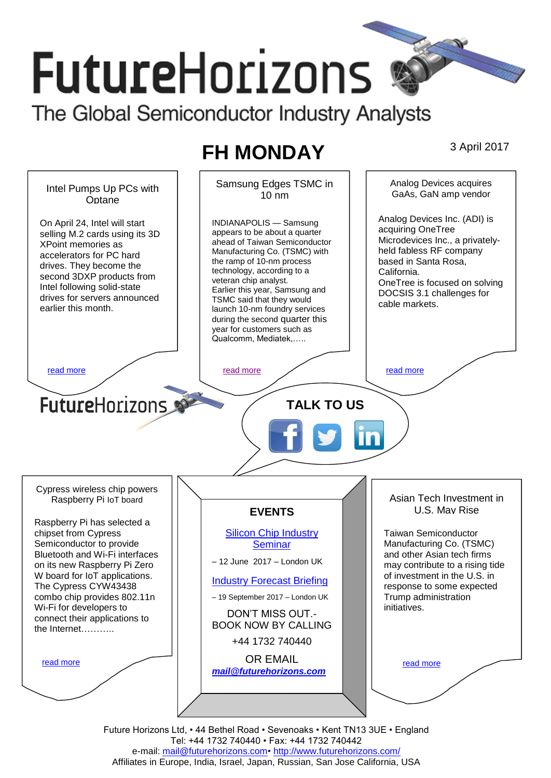# **FutureHorizons** The Global Semiconductor Industry Analysts

# **FH MONDAY** 3 April 2017

Samsung Edges TSMC in Analog Devices acquires Intel Pumps Up PCs with  $10 \text{ nm}$ GaAs, GaN amp vendor **Optane** Analog Devices Inc. (ADI) is INDIANAPOLIS — Samsung On April 24, Intel will start acquiring OneTree appears to be about a quarter selling M.2 cards using its 3D Microdevices Inc., a privatelyahead of Taiwan Semiconductor XPoint memories as held fabless RF company Manufacturing Co. (TSMC) with accelerators for PC hard based in Santa Rosa, the ramp of 10-nm process drives. They become the technology, according to a California. second 3DXP products from veteran chip analyst. OneTree is focused on solving Intel following solid-state Earlier this year, Samsung and DOCSIS 3.1 challenges for drives for servers announced TSMC said that they would cable markets. earlier this month. launch 10-nm foundry services during the second quarter this year for customers such as *.*<br>Qualcomm, Mediatek,….. Huawei's semiconductor [read more](#page-1-1) and more read more read more read more read more  $\sim$  somewhat and schedule,  $\sim$  $\diagdown\diagup\diagup$ **Future**Horizons **and**  $\sim$  **TALK TO US**  $\sqrt{20}$ (low-power early) chips, independent analyst Andrew Lu noted in a report for intelligence provider  $\sqrt{2}$ Cypress wireless chip powers Asian Tech Investment in Raspberry Pi IoT board U.S. May Rise **EVENTS** Raspberry Pi has selected a chipset from Cypress [Silicon Chip Industry](http://www.futurehorizons.com/page/12/silicon-chip-training)  Taiwan Semiconductor Semiconductor to provide **[Seminar](http://www.futurehorizons.com/page/12/silicon-chip-training)** Manufacturing Co. (TSMC) Bluetooth and Wi-Fi interfaces and other Asian tech firms – 12 June 2017 – London UK on its new Raspberry Pi Zero may contribute to a rising tide W board for IoT applications. of investment in the U.S. in [Industry Forecast Briefing](http://www.futurehorizons.com/page/13/Semiconductor-Market-Forecast-Seminar) The Cypress CYW43438 response to some expected combo chip provides 802.11n – 19 September 2017 – London UK Trump administration Wi-Fi for developers to initiatives. DON'T MISS OUT. connect their applications to BOOK NOW BY CALLING the Internet………..+44 1732 740440 OR EMAIL [read more](#page-1-3) [read more](#page-1-4) *[mail@futurehorizons.com](mailto:mail@futurehorizons.com)*

> Future Horizons Ltd, • 44 Bethel Road • Sevenoaks • Kent TN13 3UE • England Tel: +44 1732 740440 • Fax: +44 1732 740442 e-mail: mail@futurehorizons.com• http://www.futurehorizons.com/ Affiliates in Europe, India, Israel, Japan, Russian, San Jose California, USA